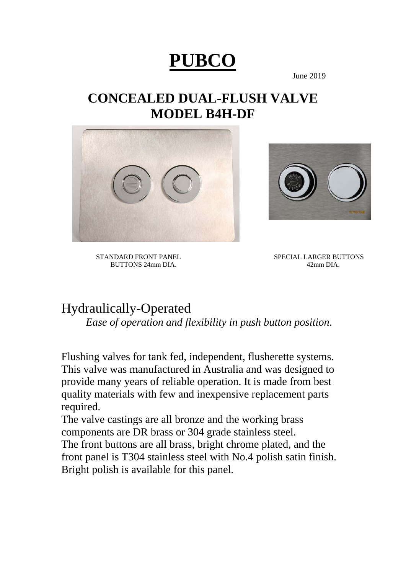# **PUBCO**

June 2019

# **CONCEALED DUAL-FLUSH VALVE MODEL B4H-DF**





BUTTONS 24mm DIA.

STANDARD FRONT PANEL<br>BUTTONS 24mm DIA. 42mm DIA. 42mm DIA.

# Hydraulically-Operated *Ease of operation and flexibility in push button position*.

Flushing valves for tank fed, independent, flusherette systems. This valve was manufactured in Australia and was designed to provide many years of reliable operation. It is made from best quality materials with few and inexpensive replacement parts required.

The valve castings are all bronze and the working brass components are DR brass or 304 grade stainless steel. The front buttons are all brass, bright chrome plated, and the front panel is T304 stainless steel with No.4 polish satin finish. Bright polish is available for this panel.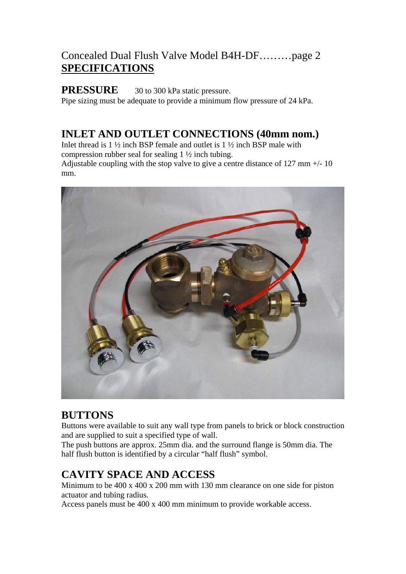## Concealed Dual Flush Valve Model B4H-DF………page 2 **SPECIFICATIONS**

**PRESSURE** 30 to 300 kPa static pressure. Pipe sizing must be adequate to provide a minimum flow pressure of 24 kPa.

# **INLET AND OUTLET CONNECTIONS (40mm nom.)**

Inlet thread is 1 ½ inch BSP female and outlet is 1 ½ inch BSP male with compression rubber seal for sealing 1 ½ inch tubing. Adjustable coupling with the stop valve to give a centre distance of 127 mm +/- 10 mm.



### **BUTTONS**

Buttons were available to suit any wall type from panels to brick or block construction and are supplied to suit a specified type of wall.

The push buttons are approx. 25mm dia. and the surround flange is 50mm dia. The half flush button is identified by a circular "half flush" symbol.

# **CAVITY SPACE AND ACCESS**

Minimum to be 400 x 400 x 200 mm with 130 mm clearance on one side for piston actuator and tubing radius.

Access panels must be 400 x 400 mm minimum to provide workable access.